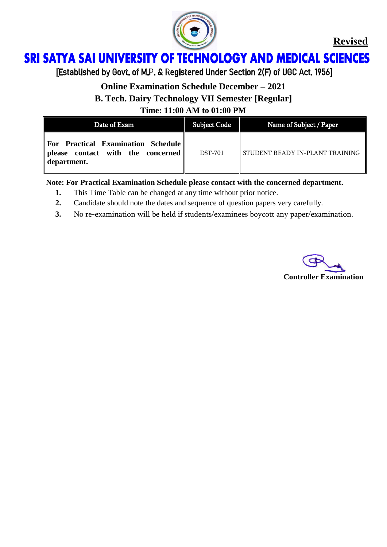

#### **SRI SATYA SAI UNIVERSITY OF TECHNOLOGY AND MEDICAL SCIENCES** Ï

[Established by Govt. of M.P. & Registered Under Section 2(F) of UGC Act. 1956]

### **Online Examination Schedule December – 2021**

**B. Tech. Dairy Technology VII Semester [Regular]**

**Time: 11:00 AM to 01:00 PM**

| Date of Exam                                                                                | <b>Subject Code</b> | Name of Subject / Paper         |
|---------------------------------------------------------------------------------------------|---------------------|---------------------------------|
| For Practical Examination Schedule<br>  please contact with the concerned   <br>department. | <b>DST-701</b>      | STUDENT READY IN-PLANT TRAINING |

- **1.** This Time Table can be changed at any time without prior notice.
- **2.** Candidate should note the dates and sequence of question papers very carefully.
- **3.** No re-examination will be held if students/examinees boycott any paper/examination.

**Controller Examination**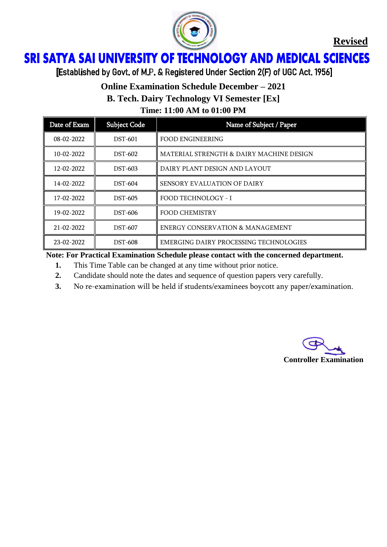

#### ì Ï

[Established by Govt. of M.P. & Registered Under Section 2(F) of UGC Act. 1956]

# **Online Examination Schedule December – 2021**

**B. Tech. Dairy Technology VI Semester [Ex]**

**Time: 11:00 AM to 01:00 PM**

| Date of Exam     | <b>Subject Code</b> | Name of Subject / Paper                     |
|------------------|---------------------|---------------------------------------------|
| $08 - 02 - 2022$ | <b>DST-601</b>      | <b>FOOD ENGINEERING</b>                     |
| 10-02-2022       | DST-602             | MATERIAL STRENGTH & DAIRY MACHINE DESIGN    |
| 12-02-2022       | <b>DST-603</b>      | DAIRY PLANT DESIGN AND LAYOUT               |
| 14-02-2022       | <b>DST-604</b>      | <b>SENSORY EVALUATION OF DAIRY</b>          |
| 17-02-2022       | DST-605             | FOOD TECHNOLOGY - I                         |
| 19-02-2022       | DST-606             | FOOD CHEMISTRY                              |
| 21-02-2022       | <b>DST-607</b>      | <b>ENERGY CONSERVATION &amp; MANAGEMENT</b> |
| 23-02-2022       | <b>DST-608</b>      | EMERGING DAIRY PROCESSING TECHNOLOGIES      |

- **1.** This Time Table can be changed at any time without prior notice.
- **2.** Candidate should note the dates and sequence of question papers very carefully.
- **3.** No re-examination will be held if students/examinees boycott any paper/examination.

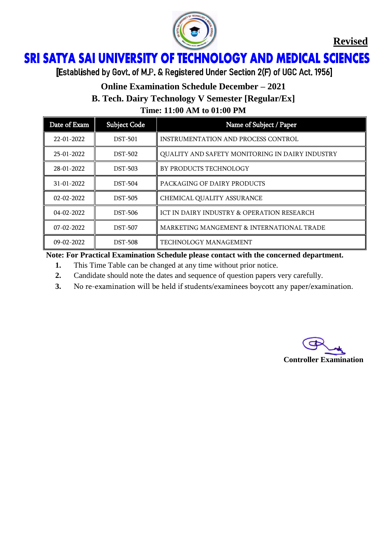

#### **SRI SATYA SAI UNIVERSITY OF TECHNOLOGY AND MEDICAL SCIENCES** Ï

[Established by Govt. of M.P. & Registered Under Section 2(F) of UGC Act. 1956]

# **Online Examination Schedule December – 2021**

**B. Tech. Dairy Technology V Semester [Regular/Ex]**

**Time: 11:00 AM to 01:00 PM**

| Date of Exam     | <b>Subject Code</b> | Name of Subject / Paper                         |
|------------------|---------------------|-------------------------------------------------|
| 22-01-2022       | <b>DST-501</b>      | <b>INSTRUMENTATION AND PROCESS CONTROL</b>      |
| $25-01-2022$     | <b>DST-502</b>      | QUALITY AND SAFETY MONITORING IN DAIRY INDUSTRY |
| 28-01-2022       | <b>DST-503</b>      | BY PRODUCTS TECHNOLOGY                          |
| $31 - 01 - 2022$ | <b>DST-504</b>      | PACKAGING OF DAIRY PRODUCTS                     |
| $02 - 02 - 2022$ | <b>DST-505</b>      | CHEMICAL QUALITY ASSURANCE                      |
| $04 - 02 - 2022$ | <b>DST-506</b>      | ICT IN DAIRY INDUSTRY & OPERATION RESEARCH      |
| $07 - 02 - 2022$ | <b>DST-507</b>      | MARKETING MANGEMENT & INTERNATIONAL TRADE       |
| $09 - 02 - 2022$ | <b>DST-508</b>      | TECHNOLOGY MANAGEMENT                           |

- **1.** This Time Table can be changed at any time without prior notice.
- **2.** Candidate should note the dates and sequence of question papers very carefully.
- **3.** No re-examination will be held if students/examinees boycott any paper/examination.

**Controller Examination**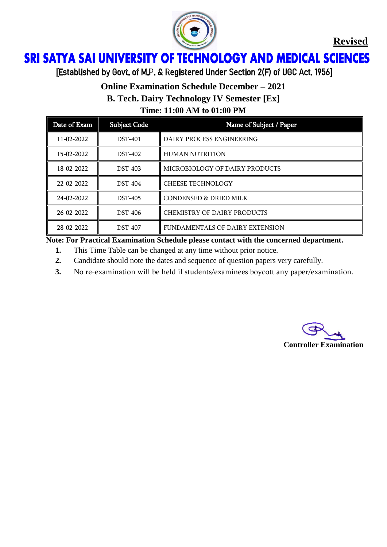

#### ì Ï

[Established by Govt. of M.P. & Registered Under Section 2(F) of UGC Act. 1956]

### **Online Examination Schedule December – 2021**

**B. Tech. Dairy Technology IV Semester [Ex]**

**Time: 11:00 AM to 01:00 PM**

| Date of Exam     | Subject Code   | Name of Subject / Paper           |
|------------------|----------------|-----------------------------------|
| $11 - 02 - 2022$ | <b>DST-401</b> | DAIRY PROCESS ENGINEERING         |
| 15-02-2022       | <b>DST-402</b> | <b>HUMAN NUTRITION</b>            |
| 18-02-2022       | <b>DST-403</b> | MICROBIOLOGY OF DAIRY PRODUCTS    |
| 22-02-2022       | <b>DST-404</b> | <b>CHEESE TECHNOLOGY</b>          |
| 24-02-2022       | <b>DST-405</b> | <b>CONDENSED &amp; DRIED MILK</b> |
| 26-02-2022       | <b>DST-406</b> | CHEMISTRY OF DAIRY PRODUCTS       |
| 28-02-2022       | <b>DST-407</b> | FUNDAMENTALS OF DAIRY EXTENSION   |

- **1.** This Time Table can be changed at any time without prior notice.
- **2.** Candidate should note the dates and sequence of question papers very carefully.
- **3.** No re-examination will be held if students/examinees boycott any paper/examination.

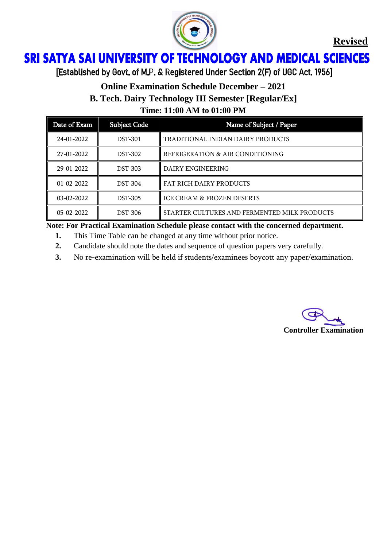

#### **SRI SATYA SAI UNIVERSITY OF TECHNOLOGY AND MEDICAL SCIENCES** Ï

[Established by Govt. of M.P. & Registered Under Section 2(F) of UGC Act. 1956]

# **Online Examination Schedule December – 2021**

**B. Tech. Dairy Technology III Semester [Regular/Ex]**

**Time: 11:00 AM to 01:00 PM**

| Date of Exam     | <b>Subject Code</b> | Name of Subject / Paper                      |
|------------------|---------------------|----------------------------------------------|
| 24-01-2022       | <b>DST-301</b>      | TRADITIONAL INDIAN DAIRY PRODUCTS            |
| 27-01-2022       | <b>DST-302</b>      | REFRIGERATION & AIR CONDITIONING             |
| 29-01-2022       | <b>DST-303</b>      | <b>DAIRY ENGINEERING</b>                     |
| $01 - 02 - 2022$ | <b>DST-304</b>      | <b>FAT RICH DAIRY PRODUCTS</b>               |
| $03-02-2022$     | <b>DST-305</b>      | <b>ICE CREAM &amp; FROZEN DESERTS</b>        |
| $05-02-2022$     | <b>DST-306</b>      | STARTER CULTURES AND FERMENTED MILK PRODUCTS |

- **1.** This Time Table can be changed at any time without prior notice.
- **2.** Candidate should note the dates and sequence of question papers very carefully.
- **3.** No re-examination will be held if students/examinees boycott any paper/examination.